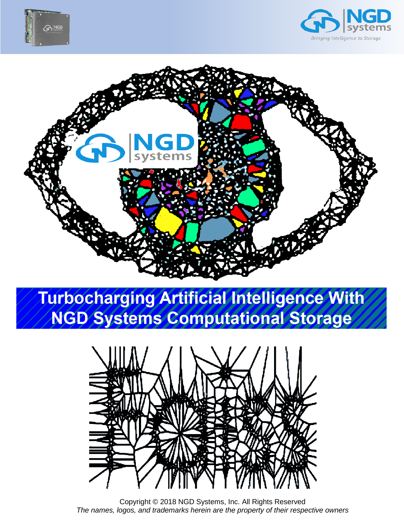





# **Turbocharging Artificial Intelligence With NGD Systems Computational Storage**



Copyright © 2018 NGD Systems, Inc. All Rights Reserved *The names, logos, and trademarks herein are the property of their respective owners*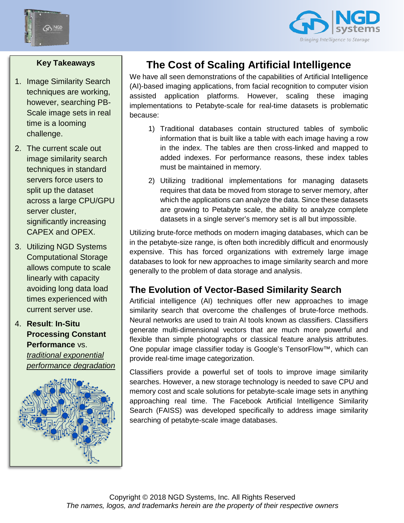



#### **Key Takeaways**

- 1. Image Similarity Search techniques are working, however, searching PB-Scale image sets in real time is a looming challenge.
- 2. The current scale out image similarity search techniques in standard servers force users to split up the dataset across a large CPU/GPU server cluster, significantly increasing CAPEX and OPEX.
- 3. Utilizing NGD Systems Computational Storage allows compute to scale linearly with capacity avoiding long data load times experienced with current server use.
- 4. **Result**: **In-Situ Processing Constant Performance** vs. *traditional exponential performance degradation*



## **The Cost of Scaling Artificial Intelligence**

We have all seen demonstrations of the capabilities of Artificial Intelligence (AI)-based imaging applications, from facial recognition to computer vision assisted application platforms. However, scaling these imaging implementations to Petabyte-scale for real-time datasets is problematic because:

- 1) Traditional databases contain structured tables of symbolic information that is built like a table with each image having a row in the index. The tables are then cross-linked and mapped to added indexes. For performance reasons, these index tables must be maintained in memory.
- 2) Utilizing traditional implementations for managing datasets requires that data be moved from storage to server memory, after which the applications can analyze the data. Since these datasets are growing to Petabyte scale, the ability to analyze complete datasets in a single server's memory set is all but impossible.

Utilizing brute-force methods on modern imaging databases, which can be in the petabyte-size range, is often both incredibly difficult and enormously expensive. This has forced organizations with extremely large image databases to look for new approaches to image similarity search and more generally to the problem of data storage and analysis.

### **The Evolution of Vector-Based Similarity Search**

Artificial intelligence (AI) techniques offer new approaches to image similarity search that overcome the challenges of brute-force methods. Neural networks are used to train AI tools known as classifiers. Classifiers generate multi-dimensional vectors that are much more powerful and flexible than simple photographs or classical feature analysis attributes. One popular image classifier today is Google's TensorFlow™, which can provide real-time image categorization.

Classifiers provide a powerful set of tools to improve image similarity searches. However, a new storage technology is needed to save CPU and memory cost and scale solutions for petabyte-scale image sets in anything approaching real time. The Facebook Artificial Intelligence Similarity Search (FAISS) was developed specifically to address image similarity searching of petabyte-scale image databases.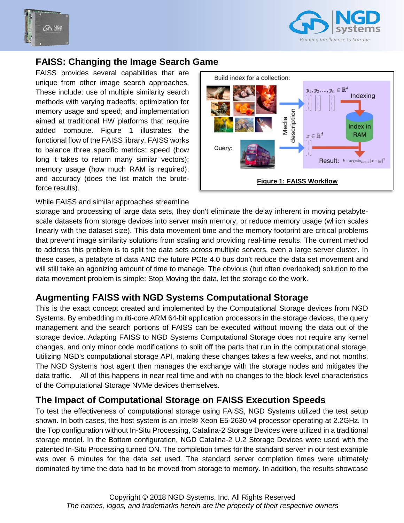



#### **FAISS: Changing the Image Search Game**

FAISS provides several capabilities that are unique from other image search approaches. These include: use of multiple similarity search methods with varying tradeoffs; optimization for memory usage and speed; and implementation aimed at traditional HW platforms that require added compute. Figure 1 illustrates the functional flow of the FAISS library. FAISS works to balance three specific metrics: speed (how long it takes to return many similar vectors); memory usage (how much RAM is required); and accuracy (does the list match the bruteforce results).



#### While FAISS and similar approaches streamline

storage and processing of large data sets, they don't eliminate the delay inherent in moving petabytescale datasets from storage devices into server main memory, or reduce memory usage (which scales linearly with the dataset size). This data movement time and the memory footprint are critical problems that prevent image similarity solutions from scaling and providing real-time results. The current method to address this problem is to split the data sets across multiple servers, even a large server cluster. In these cases, a petabyte of data AND the future PCIe 4.0 bus don't reduce the data set movement and will still take an agonizing amount of time to manage. The obvious (but often overlooked) solution to the data movement problem is simple: Stop Moving the data, let the storage do the work.

#### **Augmenting FAISS with NGD Systems Computational Storage**

This is the exact concept created and implemented by the Computational Storage devices from NGD Systems. By embedding multi-core ARM 64-bit application processors in the storage devices, the query management and the search portions of FAISS can be executed without moving the data out of the storage device. Adapting FAISS to NGD Systems Computational Storage does not require any kernel changes, and only minor code modifications to split off the parts that run in the computational storage. Utilizing NGD's computational storage API, making these changes takes a few weeks, and not months. The NGD Systems host agent then manages the exchange with the storage nodes and mitigates the data traffic. All of this happens in near real time and with no changes to the block level characteristics of the Computational Storage NVMe devices themselves.

#### **The Impact of Computational Storage on FAISS Execution Speeds**

To test the effectiveness of computational storage using FAISS, NGD Systems utilized the test setup shown. In both cases, the host system is an Intel® Xeon E5-2630 v4 processor operating at 2.2GHz. In the Top configuration without In-Situ Processing, Catalina-2 Storage Devices were utilized in a traditional storage model. In the Bottom configuration, NGD Catalina-2 U.2 Storage Devices were used with the patented In-Situ Processing turned ON. The completion times for the standard server in our test example was over 6 minutes for the data set used. The standard server completion times were ultimately dominated by time the data had to be moved from storage to memory. In addition, the results showcase